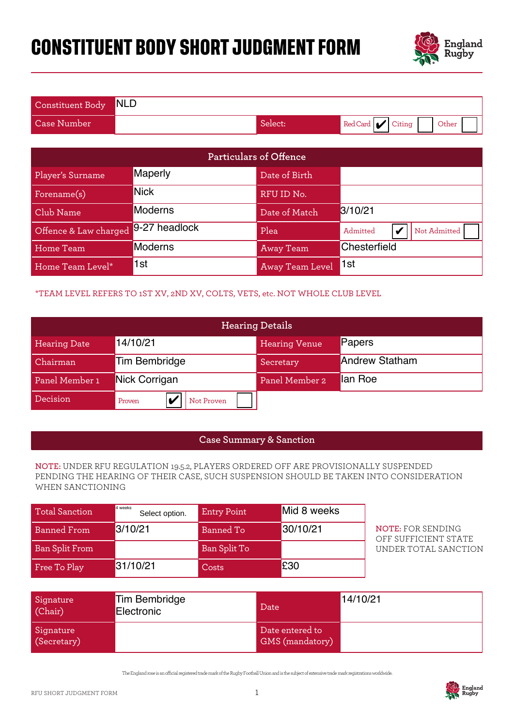# **CONSTITUENT BODY SHORT JUDGMENT FORM**



| Constituent Body NLD |         |                                   |
|----------------------|---------|-----------------------------------|
| Case Number          | Select: | Red Card <b>V</b> Citing<br>Other |

|                                                                                                                                                                                                 |                                                                              |                                    | <b>Particulars of Offence</b>      |         |                                                  |  |
|-------------------------------------------------------------------------------------------------------------------------------------------------------------------------------------------------|------------------------------------------------------------------------------|------------------------------------|------------------------------------|---------|--------------------------------------------------|--|
| Player's Surname                                                                                                                                                                                | Maperly                                                                      |                                    | Date of Birth                      |         |                                                  |  |
| Forename(s)                                                                                                                                                                                     | <b>Nick</b>                                                                  |                                    | RFU ID No.                         |         |                                                  |  |
| Club Name                                                                                                                                                                                       | <b>Moderns</b>                                                               |                                    | Date of Match                      |         | 3/10/21                                          |  |
| Offence & Law charged                                                                                                                                                                           | 9-27 headlock                                                                |                                    | Plea                               |         | Admitted<br>Not Admitted<br>V                    |  |
| Home Team                                                                                                                                                                                       | Moderns                                                                      |                                    | <b>Away Team</b>                   |         | Chesterfield                                     |  |
| Home Team Level*                                                                                                                                                                                | 1st                                                                          |                                    | <b>Away Team Level</b>             | 1st     |                                                  |  |
|                                                                                                                                                                                                 | *TEAM LEVEL REFERS TO 1ST XV, 2ND XV, COLTS, VETS, etc. NOT WHOLE CLUB LEVEL |                                    |                                    |         |                                                  |  |
|                                                                                                                                                                                                 |                                                                              | <b>Hearing Details</b>             |                                    |         |                                                  |  |
| <b>Hearing Date</b>                                                                                                                                                                             | 14/10/21                                                                     |                                    | <b>Hearing Venue</b>               | Papers  |                                                  |  |
| Chairman                                                                                                                                                                                        | <b>Tim Bembridge</b>                                                         | <b>Andrew Statham</b><br>Secretary |                                    |         |                                                  |  |
| Panel Member 1                                                                                                                                                                                  | Nick Corrigan                                                                |                                    | Panel Member 2                     | lan Roe |                                                  |  |
| Decision                                                                                                                                                                                        | V<br>Proven                                                                  | Not Proven                         |                                    |         |                                                  |  |
|                                                                                                                                                                                                 |                                                                              |                                    |                                    |         |                                                  |  |
|                                                                                                                                                                                                 |                                                                              |                                    | <b>Case Summary &amp; Sanction</b> |         |                                                  |  |
| NOTE: UNDER RFU REGULATION 19.5.2, PLAYERS ORDERED OFF ARE PROVISIONALLY SUSPENDED<br>PENDING THE HEARING OF THEIR CASE, SUCH SUSPENSION SHOULD BE TAKEN INTO CONSIDERATION<br>WHEN SANCTIONING |                                                                              |                                    |                                    |         |                                                  |  |
| <b>Total Sanction</b>                                                                                                                                                                           | 4 weeks<br>Select option.                                                    | <b>Entry Point</b>                 | Mid 8 weeks                        |         |                                                  |  |
| <b>Banned From</b>                                                                                                                                                                              | 3/10/21                                                                      | <b>Banned To</b>                   | 30/10/21                           |         | <b>NOTE: FOR SENDING</b><br>OFF SUFFICIENT STATE |  |
| <b>Ban Split From</b>                                                                                                                                                                           |                                                                              | Ban Split To                       |                                    |         | UNDER TOTAL SANCTION                             |  |
| Free To Play                                                                                                                                                                                    | 31/10/21                                                                     | Costs                              | £30                                |         |                                                  |  |

### \*TEAM LEVEL REFERS TO 1ST XV, 2ND XV, COLTS, VETS, etc. NOT WHOLE CLUB LEVEL

| Offence & Law charged | 9-27 headlock             |                    | Plea                                                                               | Admitted              | Not Admitted<br>V                                                                     |
|-----------------------|---------------------------|--------------------|------------------------------------------------------------------------------------|-----------------------|---------------------------------------------------------------------------------------|
| Home Team             | <b>Moderns</b>            |                    | <b>Away Team</b>                                                                   | Chesterfield          |                                                                                       |
| Home Team Level*      | 1st                       |                    | Away Team Level                                                                    | 1st                   |                                                                                       |
|                       |                           |                    | *TEAM LEVEL REFERS TO 1ST XV, 2ND XV, COLTS, VETS, etc. NOT WHOLE CLUB LEVEL       |                       |                                                                                       |
|                       |                           |                    | <b>Hearing Details</b>                                                             |                       |                                                                                       |
| <b>Hearing Date</b>   | 14/10/21                  |                    | <b>Hearing Venue</b>                                                               | Papers                |                                                                                       |
| Chairman              | <b>Tim Bembridge</b>      |                    | Secretary                                                                          | <b>Andrew Statham</b> |                                                                                       |
| Panel Member 1        | Nick Corrigan             |                    | Panel Member 2                                                                     | lan Roe               |                                                                                       |
| Decision              | Proven<br>lv              | Not Proven         |                                                                                    |                       |                                                                                       |
|                       |                           |                    |                                                                                    |                       |                                                                                       |
|                       |                           |                    | <b>Case Summary &amp; Sanction</b>                                                 |                       |                                                                                       |
| WHEN SANCTIONING      |                           |                    | NOTE: UNDER RFU REGULATION 19.5.2, PLAYERS ORDERED OFF ARE PROVISIONALLY SUSPENDED |                       | PENDING THE HEARING OF THEIR CASE, SUCH SUSPENSION SHOULD BE TAKEN INTO CONSIDERATION |
| <b>Total Sanction</b> | 4 weeks<br>Select option. | <b>Entry Point</b> | Mid 8 weeks                                                                        |                       |                                                                                       |
| <b>Banned From</b>    | 3/10/21                   | <b>Banned To</b>   | 30/10/21                                                                           |                       | <b>NOTE: FOR SENDING</b><br>OFF SUFFICIENT STATE                                      |
| <b>Ban Split From</b> |                           | Ban Split To       |                                                                                    |                       | UNDER TOTAL SANCTION                                                                  |
| Free To Play          | 31/10/21                  | Costs              | £30                                                                                |                       |                                                                                       |
|                       | <b>Tim Bembridge</b>      |                    |                                                                                    | 14/10/21              |                                                                                       |
| Signature<br>(Chair)  | Electronic                |                    | Date                                                                               |                       |                                                                                       |

#### **Case Summary & Sanction**

#### **NOTE:** UNDER RFU REGULATION 19.5.2, PLAYERS ORDERED OFF ARE PROVISIONALLY SUSPENDED PENDING THE HEARING OF THEIR CASE, SUCH SUSPENSION SHOULD BE TAKEN INTO CONSIDERATION WHEN SANCTIONING

| <b>Total Sanction</b> | 4 weeks<br>Select option. | <b>Entry Point</b> | Mid 8 weeks |
|-----------------------|---------------------------|--------------------|-------------|
| Banned From           | 3/10/21                   | Banned To          | 30/10/21    |
| <b>Ban Split From</b> |                           | Ban Split To       |             |
| Free To Play          | 31/10/21                  | Costs              | £30         |

| Signature<br>(Chair)     | Tim Bembridge<br><b>Electronic</b> | Date                                      | 14/10/21 |
|--------------------------|------------------------------------|-------------------------------------------|----------|
| Signature<br>(Secretary) |                                    | Date entered to<br><b>GMS</b> (mandatory) |          |

The England rose is an ocial registered trade mark of the Rugby Football Union and is the subject of extensive trade mark registrations worldwide.

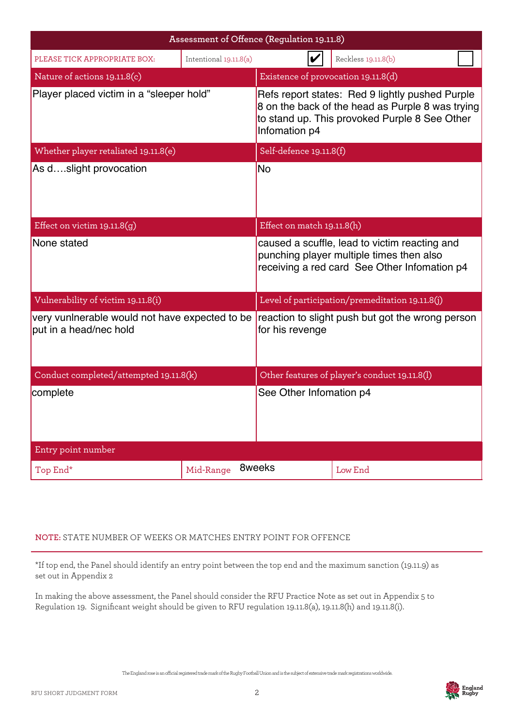| Assessment of Offence (Regulation 19.11.8)                               |                        |                                                                                                                                                                       |                                                                                                                                           |  |  |
|--------------------------------------------------------------------------|------------------------|-----------------------------------------------------------------------------------------------------------------------------------------------------------------------|-------------------------------------------------------------------------------------------------------------------------------------------|--|--|
| PLEASE TICK APPROPRIATE BOX:                                             | Intentional 19.11.8(a) | V<br>Reckless 19.11.8(b)                                                                                                                                              |                                                                                                                                           |  |  |
| Nature of actions 19.11.8(c)                                             |                        | Existence of provocation 19.11.8(d)                                                                                                                                   |                                                                                                                                           |  |  |
| Player placed victim in a "sleeper hold"                                 |                        | Refs report states: Red 9 lightly pushed Purple<br>8 on the back of the head as Purple 8 was trying<br>to stand up. This provoked Purple 8 See Other<br>Infomation p4 |                                                                                                                                           |  |  |
| Whether player retaliated 19.11.8(e)                                     |                        | Self-defence 19.11.8(f)                                                                                                                                               |                                                                                                                                           |  |  |
| As dslight provocation                                                   |                        | <b>No</b>                                                                                                                                                             |                                                                                                                                           |  |  |
| Effect on victim $19.11.8(g)$                                            |                        | Effect on match 19.11.8(h)                                                                                                                                            |                                                                                                                                           |  |  |
| None stated                                                              |                        |                                                                                                                                                                       | caused a scuffle, lead to victim reacting and<br>punching player multiple times then also<br>receiving a red card See Other Infomation p4 |  |  |
| Vulnerability of victim 19.11.8(i)                                       |                        |                                                                                                                                                                       | Level of participation/premeditation 19.11.8(j)                                                                                           |  |  |
| very vunlnerable would not have expected to be<br>put in a head/nec hold |                        | for his revenge                                                                                                                                                       | reaction to slight push but got the wrong person                                                                                          |  |  |
| Conduct completed/attempted 19.11.8(k)                                   |                        |                                                                                                                                                                       | Other features of player's conduct 19.11.8(l)                                                                                             |  |  |
| complete                                                                 |                        | See Other Infomation p4                                                                                                                                               |                                                                                                                                           |  |  |
| Entry point number                                                       |                        |                                                                                                                                                                       |                                                                                                                                           |  |  |
| Top End*                                                                 | Mid-Range              | 8weeks                                                                                                                                                                | Low End                                                                                                                                   |  |  |

## **NOTE:** STATE NUMBER OF WEEKS OR MATCHES ENTRY POINT FOR OFFENCE

\*If top end, the Panel should identify an entry point between the top end and the maximum sanction (19.11.9) as set out in Appendix 2

In making the above assessment, the Panel should consider the RFU Practice Note as set out in Appendix 5 to Regulation 19. Significant weight should be given to RFU regulation 19.11.8(a), 19.11.8(h) and 19.11.8(i).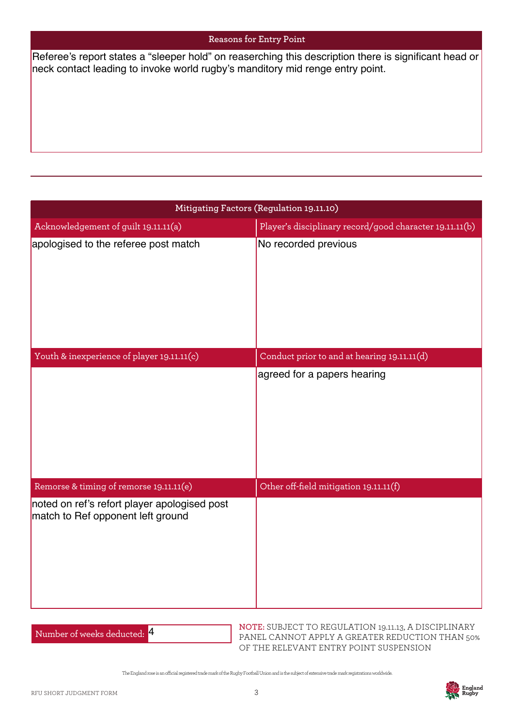#### **Reasons for Entry Point**

neck contact leading to invoke world rugby's manditory mid renge entry point.

| neck contact leading to invoke world rugby's manditory mid renge entry point.     | Referee's report states a "sleeper hold" on reaserching this description there is significant head or |
|-----------------------------------------------------------------------------------|-------------------------------------------------------------------------------------------------------|
|                                                                                   | Mitigating Factors (Regulation 19.11.10)                                                              |
| Acknowledgement of guilt 19.11.11(a)                                              | Player's disciplinary record/good character 19.11.11(b)                                               |
| apologised to the referee post match                                              | No recorded previous                                                                                  |
| Youth & inexperience of player 19.11.11(c)                                        | Conduct prior to and at hearing 19.11.11(d)                                                           |
|                                                                                   | agreed for a papers hearing                                                                           |
| Remorse & timing of remorse 19.11.11(e)                                           | Other off-field mitigation 19.11.11(f)                                                                |
| noted on ref's refort player apologised post<br>match to Ref opponent left ground |                                                                                                       |

Number of weeks deducted: 4

**NOTE:** SUBJECT TO REGULATION 19.11.13, A DISCIPLINARY PANEL CANNOT APPLY A GREATER REDUCTION THAN 50% OF THE RELEVANT ENTRY POINT SUSPENSION

The England rose is an ocial registered trade mark of the Rugby Football Union and is the subject of extensive trade mark registrations worldwide.